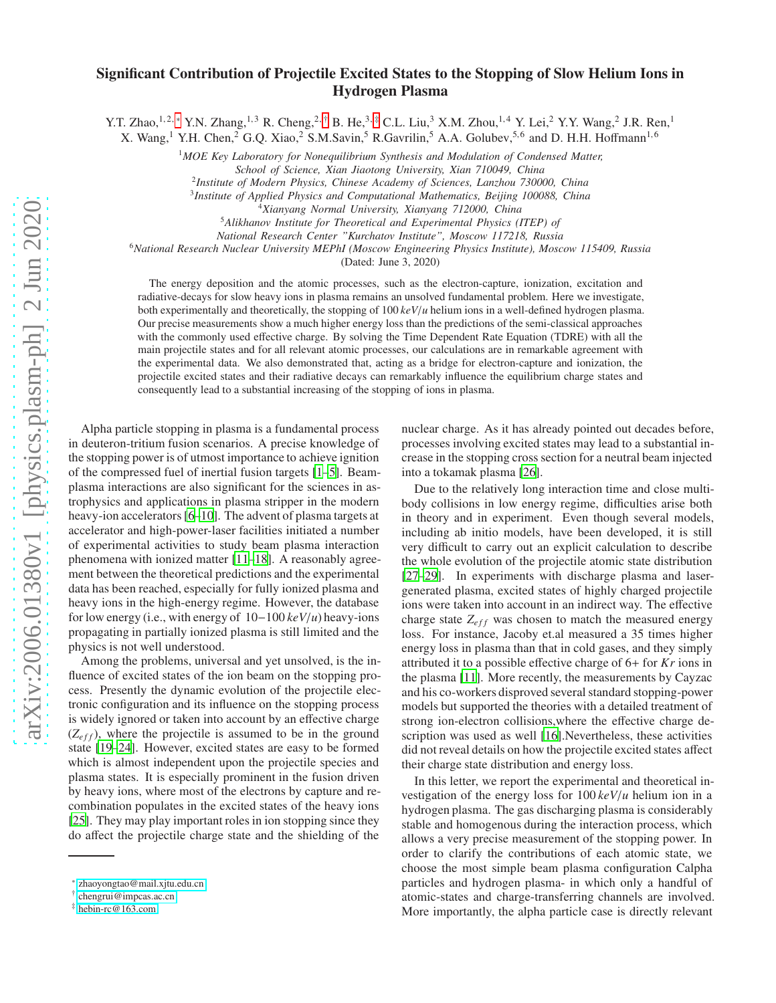## Significant Contribution of Projectile Excited States to the Stopping of Slow Helium Ions in Hydrogen Plasma

Y.T. Zhao,<sup>1,2,\*</sup> Y.N. Zhang,<sup>1,3</sup> R. Cheng,<sup>2,[†](#page-0-1)</sup> B. He,<sup>3,[‡](#page-0-2)</sup> C.L. Liu,<sup>3</sup> X.M. Zhou,<sup>1,4</sup> Y. Lei,<sup>2</sup> Y.Y. Wang,<sup>2</sup> J.R. Ren,<sup>1</sup>

X. Wang,<sup>1</sup> Y.H. Chen,<sup>2</sup> G.Q. Xiao,<sup>2</sup> S.M.Savin,<sup>5</sup> R.Gavrilin,<sup>5</sup> A.A. Golubev,<sup>5,6</sup> and D. H.H. Hoffmann<sup>1,6</sup>

<sup>1</sup>*MOE Key Laboratory for Nonequilibrium Synthesis and Modulation of Condensed Matter,*

2 *Institute of Modern Physics, Chinese Academy of Sciences, Lanzhou 730000, China*

3 *Institute of Applied Physics and Computational Mathematics, Beijing 100088, China*

<sup>4</sup>*Xianyang Normal University, Xianyang 712000, China*

<sup>5</sup>*Alikhanov Institute for Theoretical and Experimental Physics (ITEP) of*

*National Research Center "Kurchatov Institute", Moscow 117218, Russia*

<sup>6</sup>*National Research Nuclear University MEPhI (Moscow Engineering Physics Institute), Moscow 115409, Russia*

(Dated: June 3, 2020)

The energy deposition and the atomic processes, such as the electron-capture, ionization, excitation and radiative-decays for slow heavy ions in plasma remains an unsolved fundamental problem. Here we investigate, both experimentally and theoretically, the stopping of 100 *keV*/*u* helium ions in a well-defined hydrogen plasma. Our precise measurements show a much higher energy loss than the predictions of the semi-classical approaches with the commonly used effective charge. By solving the Time Dependent Rate Equation (TDRE) with all the main projectile states and for all relevant atomic processes, our calculations are in remarkable agreement with the experimental data. We also demonstrated that, acting as a bridge for electron-capture and ionization, the projectile excited states and their radiative decays can remarkably influence the equilibrium charge states and consequently lead to a substantial increasing of the stopping of ions in plasma.

Alpha particle stopping in plasma is a fundamental process in deuteron-tritium fusion scenarios. A precise knowledge of the stopping power is of utmost importance to achieve ignition of the compressed fuel of inertial fusion targets [\[1](#page-3-0)[–5\]](#page-3-1). Beamplasma interactions are also significant for the sciences in astrophysics and applications in plasma stripper in the modern heavy-ion accelerators [\[6–](#page-3-2)[10\]](#page-3-3). The advent of plasma targets at accelerator and high-power-laser facilities initiated a number of experimental activities to study beam plasma interaction phenomena with ionized matter [\[11](#page-3-4)[–18](#page-4-0)]. A reasonably agreement between the theoretical predictions and the experimental data has been reached, especially for fully ionized plasma and heavy ions in the high-energy regime. However, the database for low energy (i.e., with energy of 10−100 *keV*/*u*) heavy-ions propagating in partially ionized plasma is still limited and the physics is not well understood.

Among the problems, universal and yet unsolved, is the influence of excited states of the ion beam on the stopping process. Presently the dynamic evolution of the projectile electronic configuration and its influence on the stopping process is widely ignored or taken into account by an effective charge  $(Z_{eff})$ , where the projectile is assumed to be in the ground state [\[19](#page-4-1)[–24\]](#page-4-2). However, excited states are easy to be formed which is almost independent upon the projectile species and plasma states. It is especially prominent in the fusion driven by heavy ions, where most of the electrons by capture and recombination populates in the excited states of the heavy ions [\[25](#page-4-3)]. They may play important roles in ion stopping since they do affect the projectile charge state and the shielding of the

nuclear charge. As it has already pointed out decades before, processes involving excited states may lead to a substantial increase in the stopping cross section for a neutral beam injected into a tokamak plasma [\[26\]](#page-4-4).

Due to the relatively long interaction time and close multibody collisions in low energy regime, difficulties arise both in theory and in experiment. Even though several models, including ab initio models, have been developed, it is still very difficult to carry out an explicit calculation to describe the whole evolution of the projectile atomic state distribution [\[27](#page-4-5)[–29](#page-4-6)]. In experiments with discharge plasma and lasergenerated plasma, excited states of highly charged projectile ions were taken into account in an indirect way. The effective charge state  $Z_{eff}$  was chosen to match the measured energy loss. For instance, Jacoby et.al measured a 35 times higher energy loss in plasma than that in cold gases, and they simply attributed it to a possible effective charge of 6+ for *Kr* ions in the plasma [\[11\]](#page-3-4). More recently, the measurements by Cayzac and his co-workers disproved several standard stopping-power models but supported the theories with a detailed treatment of strong ion-electron collisions,where the effective charge de-scription was used as well [\[16](#page-3-5)]. Nevertheless, these activities did not reveal details on how the projectile excited states affect their charge state distribution and energy loss.

In this letter, we report the experimental and theoretical investigation of the energy loss for 100 *keV*/*u* helium ion in a hydrogen plasma. The gas discharging plasma is considerably stable and homogenous during the interaction process, which allows a very precise measurement of the stopping power. In order to clarify the contributions of each atomic state, we choose the most simple beam plasma configuration Calpha particles and hydrogen plasma- in which only a handful of atomic-states and charge-transferring channels are involved. More importantly, the alpha particle case is directly relevant

*School of Science, Xian Jiaotong University, Xian 710049, China*

<span id="page-0-0"></span><sup>∗</sup> [zhaoyongtao@mail.xjtu.edu.cn](mailto:zhaoyongtao@mail.xjtu.edu.cn)

<span id="page-0-1"></span><sup>†</sup> [chengrui@impcas.ac.cn](mailto:chengrui@impcas.ac.cn)

<span id="page-0-2"></span><sup>‡</sup> [hebin-rc@163.com](mailto:hebin-rc@163.com)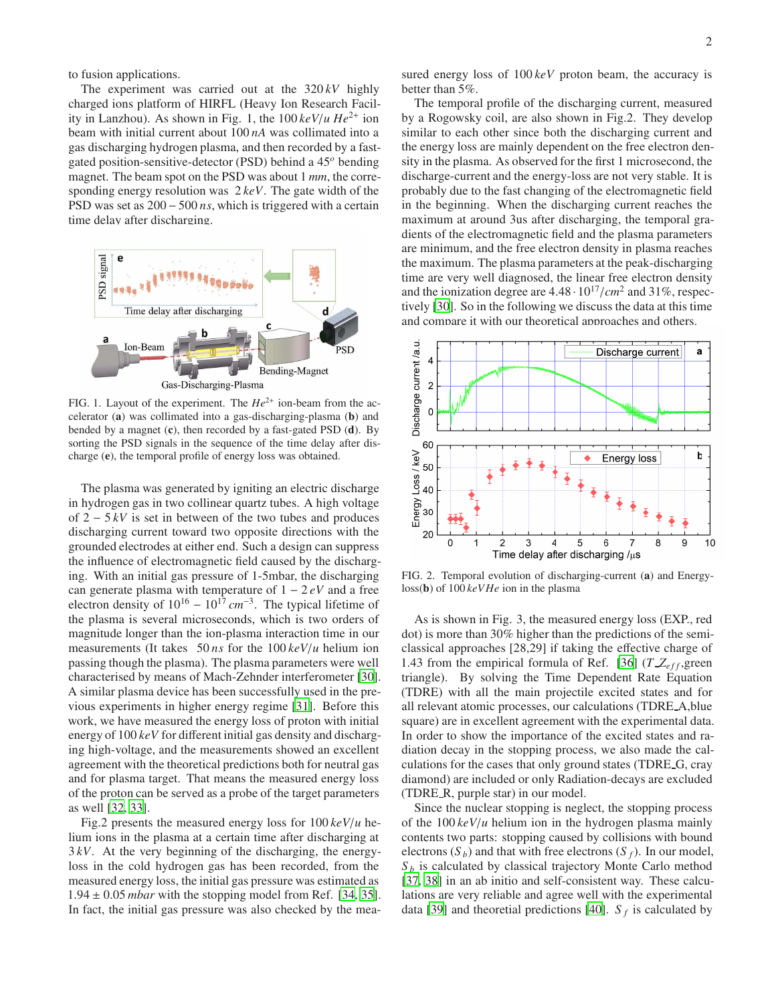to fusion applications.

The experiment was carried out at the 320 *kV* highly charged ions platform of HIRFL (Heavy Ion Research Facility in Lanzhou). As shown in Fig. 1, the 100 *keV*/*u He*2<sup>+</sup> ion beam with initial current about 100 *nA* was collimated into a gas discharging hydrogen plasma, and then recorded by a fastgated position-sensitive-detector (PSD) behind a 45*<sup>o</sup>* bending magnet. The beam spot on the PSD was about 1 *mm*, the corresponding energy resolution was 2 *keV*. The gate width of the PSD was set as 200 − 500 *ns*, which is triggered with a certain time delay after discharging.



FIG. 1. Layout of the experiment. The  $He^{2+}$  ion-beam from the accelerator (a) was collimated into a gas-discharging-plasma (b) and bended by a magnet (c), then recorded by a fast-gated PSD (d). By sorting the PSD signals in the sequence of the time delay after discharge (e), the temporal profile of energy loss was obtained.

The plasma was generated by igniting an electric discharge in hydrogen gas in two collinear quartz tubes. A high voltage of 2 − 5 *kV* is set in between of the two tubes and produces discharging current toward two opposite directions with the grounded electrodes at either end. Such a design can suppress the influence of electromagnetic field caused by the discharging. With an initial gas pressure of 1-5mbar, the discharging can generate plasma with temperature of 1 − 2 *eV* and a free electron density of  $10^{16} - 10^{17}$  *cm*<sup>-3</sup>. The typical lifetime of the plasma is several microseconds, which is two orders of magnitude longer than the ion-plasma interaction time in our measurements (It takes 50 *ns* for the 100 *keV*/*u* helium ion passing though the plasma). The plasma parameters were well characterised by means of Mach-Zehnder interferometer [\[30\]](#page-4-7). A similar plasma device has been successfully used in the previous experiments in higher energy regime [\[31\]](#page-4-8). Before this work, we have measured the energy loss of proton with initial energy of 100 *keV* for different initial gas density and discharging high-voltage, and the measurements showed an excellent agreement with the theoretical predictions both for neutral gas and for plasma target. That means the measured energy loss of the proton can be served as a probe of the target parameters as well [\[32,](#page-4-9) [33\]](#page-4-10).

Fig.2 presents the measured energy loss for 100 *keV*/*u* helium ions in the plasma at a certain time after discharging at 3 *kV*. At the very beginning of the discharging, the energyloss in the cold hydrogen gas has been recorded, from the measured energy loss, the initial gas pressure was estimated as  $1.94 \pm 0.05$  *mbar* with the stopping model from Ref. [\[34,](#page-4-11) [35\]](#page-4-12). In fact, the initial gas pressure was also checked by the mea-

sured energy loss of 100 *keV* proton beam, the accuracy is better than 5%.

The temporal profile of the discharging current, measured by a Rogowsky coil, are also shown in Fig.2. They develop similar to each other since both the discharging current and the energy loss are mainly dependent on the free electron density in the plasma. As observed for the first 1 microsecond, the discharge-current and the energy-loss are not very stable. It is probably due to the fast changing of the electromagnetic field in the beginning. When the discharging current reaches the maximum at around 3us after discharging, the temporal gradients of the electromagnetic field and the plasma parameters are minimum, and the free electron density in plasma reaches the maximum. The plasma parameters at the peak-discharging time are very well diagnosed, the linear free electron density and the ionization degree are  $4.48 \cdot 10^{17}/cm^2$  and  $31\%$ , respectively [\[30\]](#page-4-7). So in the following we discuss the data at this time and compare it with our theoretical approaches and others.



FIG. 2. Temporal evolution of discharging-current (a) and Energyloss(b) of 100 *keVHe* ion in the plasma

As is shown in Fig. 3, the measured energy loss (EXP., red dot) is more than 30% higher than the predictions of the semiclassical approaches [28,29] if taking the effective charge of 1.43 from the empirical formula of Ref. [\[36\]](#page-4-13) ( $T Z_{eff}$ , green triangle). By solving the Time Dependent Rate Equation (TDRE) with all the main projectile excited states and for all relevant atomic processes, our calculations (TDRE A,blue square) are in excellent agreement with the experimental data. In order to show the importance of the excited states and radiation decay in the stopping process, we also made the calculations for the cases that only ground states (TDRE G, cray diamond) are included or only Radiation-decays are excluded (TDRE R, purple star) in our model.

Since the nuclear stopping is neglect, the stopping process of the  $100 \, \text{keV}/\text{u}$  helium ion in the hydrogen plasma mainly contents two parts: stopping caused by collisions with bound electrons  $(S_b)$  and that with free electrons  $(S_f)$ . In our model,  $S_b$  is calculated by classical trajectory Monte Carlo method [\[37](#page-4-14), [38\]](#page-4-15) in an ab initio and self-consistent way. These calculations are very reliable and agree well with the experimental data [\[39\]](#page-4-16) and theoretial predictions [\[40\]](#page-4-17).  $S_f$  is calculated by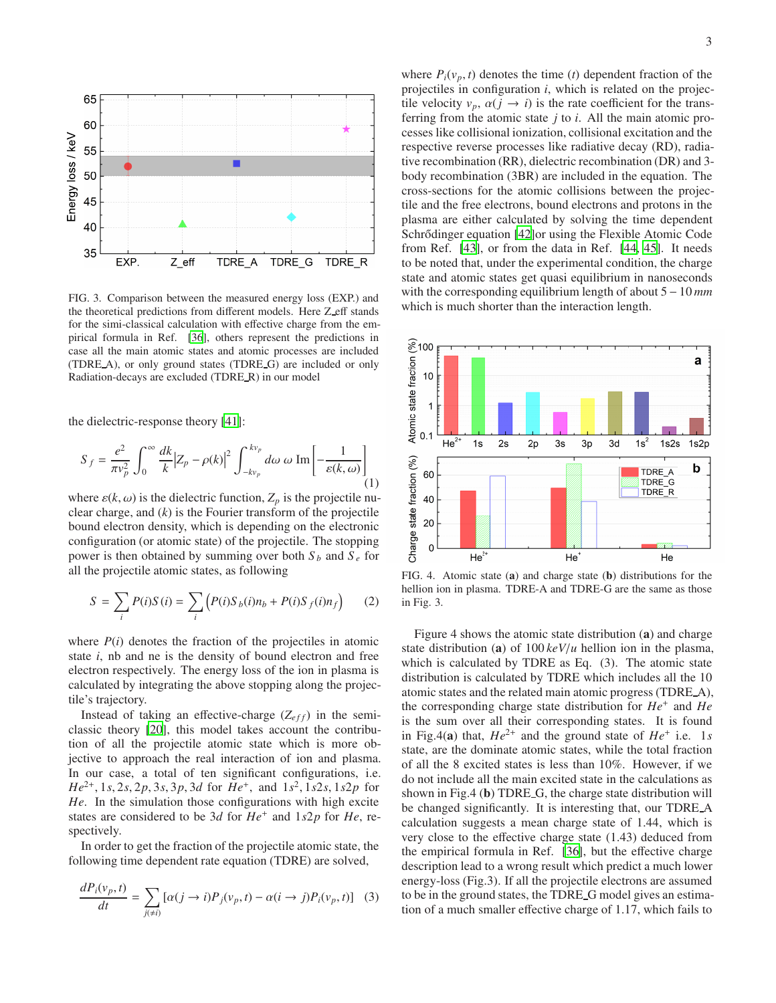

FIG. 3. Comparison between the measured energy loss (EXP.) and the theoretical predictions from different models. Here Z\_eff stands for the simi-classical calculation with effective charge from the empirical formula in Ref. [\[36](#page-4-13)], others represent the predictions in case all the main atomic states and atomic processes are included (TDRE A), or only ground states (TDRE G) are included or only Radiation-decays are excluded (TDRE R) in our model

the dielectric-response theory [\[41\]](#page-4-18):

$$
S_f = \frac{e^2}{\pi v_p^2} \int_0^\infty \frac{dk}{k} |Z_p - \rho(k)|^2 \int_{-kv_p}^{kv_p} d\omega \, \omega \, \text{Im} \left[ -\frac{1}{\varepsilon(k, \omega)} \right] \tag{1}
$$

where  $\varepsilon(k, \omega)$  is the dielectric function,  $Z_p$  is the projectile nuclear charge, and (*k*) is the Fourier transform of the projectile bound electron density, which is depending on the electronic configuration (or atomic state) of the projectile. The stopping power is then obtained by summing over both  $S_b$  and  $S_e$  for all the projectile atomic states, as following

$$
S = \sum_{i} P(i)S(i) = \sum_{i} \left( P(i)S_b(i)n_b + P(i)S_f(i)n_f \right) \tag{2}
$$

where  $P(i)$  denotes the fraction of the projectiles in atomic state *i*, nb and ne is the density of bound electron and free electron respectively. The energy loss of the ion in plasma is calculated by integrating the above stopping along the projectile's trajectory.

Instead of taking an effective-charge  $(Z_{eff})$  in the semiclassic theory [\[20](#page-4-19)], this model takes account the contribution of all the projectile atomic state which is more objective to approach the real interaction of ion and plasma. In our case, a total of ten significant configurations, i.e. *He*2<sup>+</sup> , 1*s*, 2*s*, 2*p*, 3*s*, 3*p*, 3*d* for *He*<sup>+</sup> , and 1*s* 2 , 1*s*2*s*, 1*s*2*p* for *He*. In the simulation those configurations with high excite states are considered to be 3*d* for *He*<sup>+</sup> and 1*s*2*p* for *He*, respectively.

In order to get the fraction of the projectile atomic state, the following time dependent rate equation (TDRE) are solved,

$$
\frac{dP_i(v_p, t)}{dt} = \sum_{j(\neq i)} [\alpha(j \to i)P_j(v_p, t) - \alpha(i \to j)P_i(v_p, t)] \quad (3)
$$

where  $P_i(v_p, t)$  denotes the time (*t*) dependent fraction of the projectiles in configuration *i*, which is related on the projectile velocity  $v_p$ ,  $\alpha(j \rightarrow i)$  is the rate coefficient for the transferring from the atomic state *j* to *i*. All the main atomic processes like collisional ionization, collisional excitation and the respective reverse processes like radiative decay (RD), radiative recombination (RR), dielectric recombination (DR) and 3 body recombination (3BR) are included in the equation. The cross-sections for the atomic collisions between the projectile and the free electrons, bound electrons and protons in the plasma are either calculated by solving the time dependent Schrődinger equation [\[42](#page-4-20)] or using the Flexible Atomic Code from Ref. [\[43\]](#page-4-21), or from the data in Ref. [\[44,](#page-4-22) [45](#page-4-23)]. It needs to be noted that, under the experimental condition, the charge state and atomic states get quasi equilibrium in nanoseconds with the corresponding equilibrium length of about 5 −10 *mm* which is much shorter than the interaction length.



FIG. 4. Atomic state (a) and charge state (b) distributions for the hellion ion in plasma. TDRE-A and TDRE-G are the same as those in Fig. 3.

Figure 4 shows the atomic state distribution (a) and charge state distribution (a) of 100 *keV*/*u* hellion ion in the plasma, which is calculated by TDRE as Eq. (3). The atomic state distribution is calculated by TDRE which includes all the 10 atomic states and the related main atomic progress (TDRE A), the corresponding charge state distribution for *He*<sup>+</sup> and *He* is the sum over all their corresponding states. It is found in Fig.4(a) that,  $He^{2+}$  and the ground state of  $He^{+}$  i.e. 1*s* state, are the dominate atomic states, while the total fraction of all the 8 excited states is less than 10%. However, if we do not include all the main excited state in the calculations as shown in Fig.4 (b) TDRE<sub>-G</sub>, the charge state distribution will be changed significantly. It is interesting that, our TDRE A calculation suggests a mean charge state of 1.44, which is very close to the effective charge state (1.43) deduced from the empirical formula in Ref. [\[36\]](#page-4-13), but the effective charge description lead to a wrong result which predict a much lower energy-loss (Fig.3). If all the projectile electrons are assumed to be in the ground states, the TDRE G model gives an estimation of a much smaller effective charge of 1.17, which fails to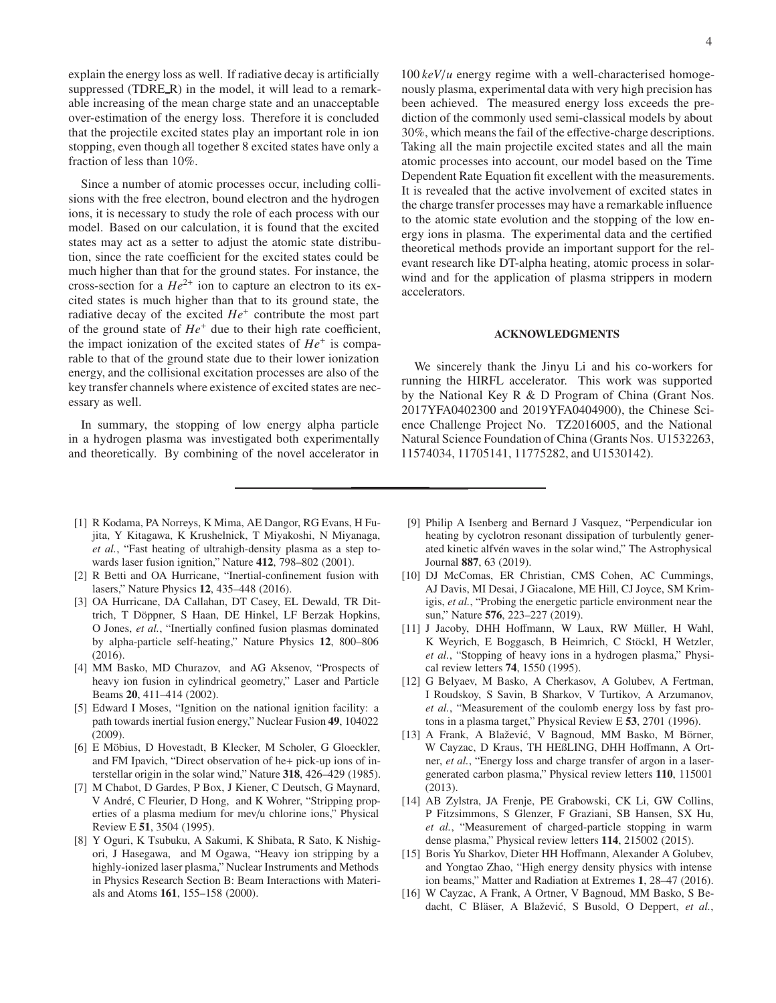explain the energy loss as well. If radiative decay is artificially suppressed (TDRE\_R) in the model, it will lead to a remarkable increasing of the mean charge state and an unacceptable over-estimation of the energy loss. Therefore it is concluded that the projectile excited states play an important role in ion stopping, even though all together 8 excited states have only a fraction of less than 10%.

Since a number of atomic processes occur, including collisions with the free electron, bound electron and the hydrogen ions, it is necessary to study the role of each process with our model. Based on our calculation, it is found that the excited states may act as a setter to adjust the atomic state distribution, since the rate coefficient for the excited states could be much higher than that for the ground states. For instance, the cross-section for a  $He^{2+}$  ion to capture an electron to its excited states is much higher than that to its ground state, the radiative decay of the excited  $He^+$  contribute the most part of the ground state of  $He<sup>+</sup>$  due to their high rate coefficient, the impact ionization of the excited states of *He*<sup>+</sup> is comparable to that of the ground state due to their lower ionization energy, and the collisional excitation processes are also of the key transfer channels where existence of excited states are necessary as well.

In summary, the stopping of low energy alpha particle in a hydrogen plasma was investigated both experimentally and theoretically. By combining of the novel accelerator in 4

100 *keV*/*u* energy regime with a well-characterised homogenously plasma, experimental data with very high precision has been achieved. The measured energy loss exceeds the prediction of the commonly used semi-classical models by about 30%, which means the fail of the effective-charge descriptions. Taking all the main projectile excited states and all the main atomic processes into account, our model based on the Time Dependent Rate Equation fit excellent with the measurements. It is revealed that the active involvement of excited states in the charge transfer processes may have a remarkable influence to the atomic state evolution and the stopping of the low energy ions in plasma. The experimental data and the certified theoretical methods provide an important support for the relevant research like DT-alpha heating, atomic process in solarwind and for the application of plasma strippers in modern accelerators.

## ACKNOWLEDGMENTS

We sincerely thank the Jinyu Li and his co-workers for running the HIRFL accelerator. This work was supported by the National Key R & D Program of China (Grant Nos. 2017YFA0402300 and 2019YFA0404900), the Chinese Science Challenge Project No. TZ2016005, and the National Natural Science Foundation of China (Grants Nos. U1532263, 11574034, 11705141, 11775282, and U1530142).

- <span id="page-3-0"></span>[1] R Kodama, PA Norreys, K Mima, AE Dangor, RG Evans, H Fujita, Y Kitagawa, K Krushelnick, T Miyakoshi, N Miyanaga, *et al.*, "Fast heating of ultrahigh-density plasma as a step towards laser fusion ignition," Nature 412, 798–802 (2001).
- [2] R Betti and OA Hurricane, "Inertial-confinement fusion with lasers," Nature Physics 12, 435–448 (2016).
- [3] OA Hurricane, DA Callahan, DT Casey, EL Dewald, TR Dittrich, T Döppner, S Haan, DE Hinkel, LF Berzak Hopkins, O Jones, *et al.*, "Inertially confined fusion plasmas dominated by alpha-particle self-heating," Nature Physics 12, 800–806 (2016).
- [4] MM Basko, MD Churazov, and AG Aksenov, "Prospects of heavy ion fusion in cylindrical geometry," Laser and Particle Beams 20, 411–414 (2002).
- <span id="page-3-1"></span>[5] Edward I Moses, "Ignition on the national ignition facility: a path towards inertial fusion energy," Nuclear Fusion 49, 104022 (2009).
- <span id="page-3-2"></span>[6] E Möbius, D Hovestadt, B Klecker, M Scholer, G Gloeckler, and FM Ipavich, "Direct observation of he+ pick-up ions of interstellar origin in the solar wind," Nature 318, 426–429 (1985).
- [7] M Chabot, D Gardes, P Box, J Kiener, C Deutsch, G Maynard, V André, C Fleurier, D Hong, and K Wohrer, "Stripping properties of a plasma medium for mev/u chlorine ions," Physical Review E 51, 3504 (1995).
- [8] Y Oguri, K Tsubuku, A Sakumi, K Shibata, R Sato, K Nishigori, J Hasegawa, and M Ogawa, "Heavy ion stripping by a highly-ionized laser plasma," Nuclear Instruments and Methods in Physics Research Section B: Beam Interactions with Materials and Atoms 161, 155–158 (2000).
- [9] Philip A Isenberg and Bernard J Vasquez, "Perpendicular ion heating by cyclotron resonant dissipation of turbulently generated kinetic alfvén waves in the solar wind," The Astrophysical Journal 887, 63 (2019).
- <span id="page-3-3"></span>[10] DJ McComas, ER Christian, CMS Cohen, AC Cummings, AJ Davis, MI Desai, J Giacalone, ME Hill, CJ Joyce, SM Krimigis, *et al.*, "Probing the energetic particle environment near the sun," Nature 576, 223–227 (2019).
- <span id="page-3-4"></span>[11] J Jacoby, DHH Hoffmann, W Laux, RW Müller, H Wahl, K Weyrich, E Boggasch, B Heimrich, C Stöckl, H Wetzler, *et al.*, "Stopping of heavy ions in a hydrogen plasma," Physical review letters 74, 1550 (1995).
- [12] G Belyaev, M Basko, A Cherkasov, A Golubev, A Fertman, I Roudskoy, S Savin, B Sharkov, V Turtikov, A Arzumanov, *et al.*, "Measurement of the coulomb energy loss by fast protons in a plasma target," Physical Review E 53, 2701 (1996).
- [13] A Frank, A Blažević, V Bagnoud, MM Basko, M Börner, W Cayzac, D Kraus, TH HEßLING, DHH Hoffmann, A Ortner, *et al.*, "Energy loss and charge transfer of argon in a lasergenerated carbon plasma," Physical review letters 110, 115001 (2013).
- [14] AB Zylstra, JA Frenje, PE Grabowski, CK Li, GW Collins, P Fitzsimmons, S Glenzer, F Graziani, SB Hansen, SX Hu, *et al.*, "Measurement of charged-particle stopping in warm dense plasma," Physical review letters 114, 215002 (2015).
- [15] Boris Yu Sharkov, Dieter HH Hoffmann, Alexander A Golubev, and Yongtao Zhao, "High energy density physics with intense ion beams," Matter and Radiation at Extremes 1, 28–47 (2016).
- <span id="page-3-5"></span>[16] W Cayzac, A Frank, A Ortner, V Bagnoud, MM Basko, S Bedacht, C Bläser, A Blažević, S Busold, O Deppert, et al.,